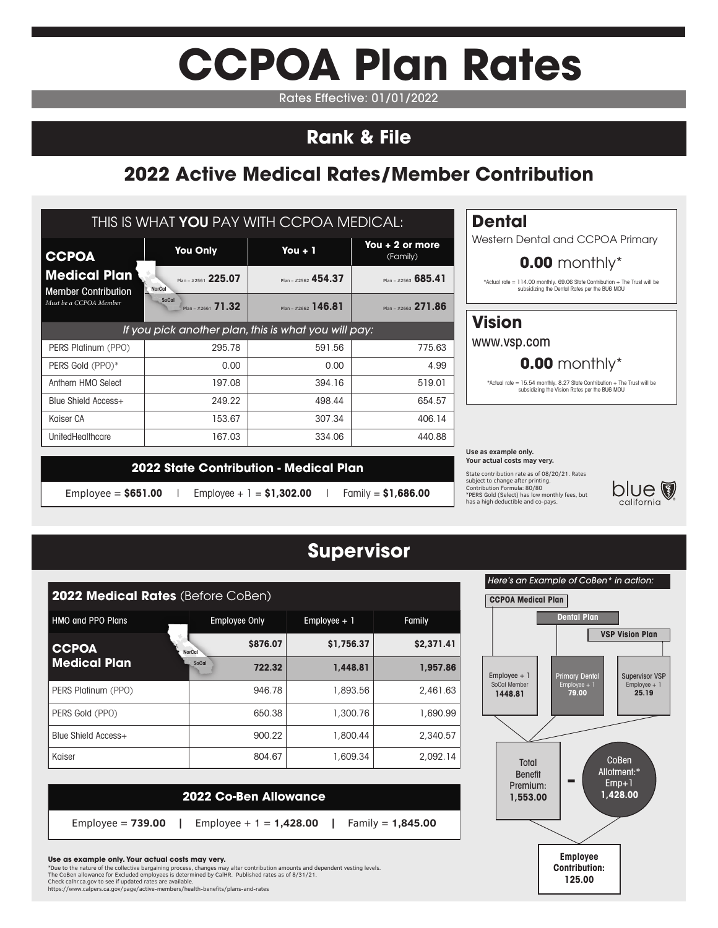# **CCPOA Plan Rates**

Rates Effective: 01/01/2022

# **Rank & File**

# **2022 Active Medical Rates/Member Contribution**

| THIS IS WHAT YOU PAY WITH CCPOA MEDICAL:                                    |                                                      |                          |                              |  |  |  |  |  |
|-----------------------------------------------------------------------------|------------------------------------------------------|--------------------------|------------------------------|--|--|--|--|--|
| <b>CCPOA</b>                                                                | <b>You Only</b>                                      | You $+1$                 | You $+2$ or more<br>(Family) |  |  |  |  |  |
| <b>Medical Plan</b><br><b>Member Contribution</b><br>Must be a CCPOA Member | Plan - #2561 225.07<br>NorCal                        | Plan - #2562 454.37      | Plan - #2563 685.41          |  |  |  |  |  |
|                                                                             | SoCal<br>$Plan - #2661$ 71.32                        | $P _{20} = #2662$ 146.81 | Plan - #2663 271.86          |  |  |  |  |  |
|                                                                             | If you pick another plan, this is what you will pay: |                          |                              |  |  |  |  |  |
| PERS Platinum (PPO)                                                         | 295.78                                               | 591.56                   | 775.63                       |  |  |  |  |  |
| PERS Gold (PPO)*                                                            | 0.00                                                 | 0.00                     | 4.99                         |  |  |  |  |  |
| Anthem HMO Select                                                           | 197.08                                               | 394.16                   | 519.01                       |  |  |  |  |  |
| Blue Shield Access+                                                         | 249.22                                               | 498.44                   | 654.57                       |  |  |  |  |  |
| Kaiser CA                                                                   | 153.67                                               | 307.34                   | 406.14                       |  |  |  |  |  |
| UnitedHealthcare                                                            | 167.03                                               | 334.06                   | 440.88                       |  |  |  |  |  |

# **Dental**

Western Dental and CCPOA Primary

### **0.00** monthly\*

\*Actual rate = 114.00 monthly. 69.06 State Contribution + The Trust will be subsidizing the Dental Rates per the BU6 MOU

# **Vision**

www.vsp.com

## **0.00** monthly\*

\*Actual rate = 15.54 monthly. 8.27 State Contribution + The Trust will be subsidizing the Vision Rates per the BU6 MOU

#### **Use as example only. Your actual costs may very.**

State contribution rate as of 08/20/21. Rates subject to change after printing. Contribution Formula: 80/80 \*PERS Gold (Select) has low monthly fees, but has a high deductible and co-pays.



|                      | 2022 State Contribution - Medical Plan |                      |
|----------------------|----------------------------------------|----------------------|
| Employee = $$651.00$ | Employee + 1 = $$1,302.00$             | Family = $$1,686.00$ |

# **Supervisor**

| <b>2022 Medical Rates (Before CoBen)</b> |                        |                |            |  |  |  |  |
|------------------------------------------|------------------------|----------------|------------|--|--|--|--|
| <b>HMO and PPO Plans</b>                 | <b>Employee Only</b>   | $Employee + 1$ | Family     |  |  |  |  |
| <b>CCPOA</b>                             | \$876.07<br>NorCal     | \$1,756.37     | \$2,371.41 |  |  |  |  |
| <b>Medical Plan</b>                      | <b>SoCal</b><br>722.32 | 1,448.81       | 1.957.86   |  |  |  |  |
| PERS Platinum (PPO)                      | 946.78                 | 1,893.56       | 2,461.63   |  |  |  |  |
| PERS Gold (PPO)                          | 650.38                 | 1,300.76       | 1,690.99   |  |  |  |  |
| Blue Shield Access+                      | 900.22                 | 1,800.44       | 2.340.57   |  |  |  |  |
| Kaiser                                   | 804.67                 | 1,609.34       | 2.092.14   |  |  |  |  |

**2022 Co-Ben Allowance** 

Employee = **739.00 |** Employee + 1 = **1,428.00 |** Family = **1,845.00**

### Here's an Example of CoBen\* in action: **CCPOA Medical Plan Dental Plan VSP Vision Plan**  $Emplovee + 1$ SoCal Member **1448.81** Primary Dente Employee + 1 **79.00** Supervisor VSP Employee + 1 **25.19 Total** Benefit Premium: **1,553.00** CoBen Allotment:\* Emp+1 **1,428.00 Employee Contribution: 125.00 -**

### **Use as example only. Your actual costs may very.**

\*Due to the nature of the collective bargaining process, changes may alter contribution amounts and dependent vesting levels.<br>The CoBen allowance for Excluded employees is determined by CalHR. Published rates as of 8/31/2 https://www.calpers.ca.gov/page/active-members/health-benefits/plans-and-rates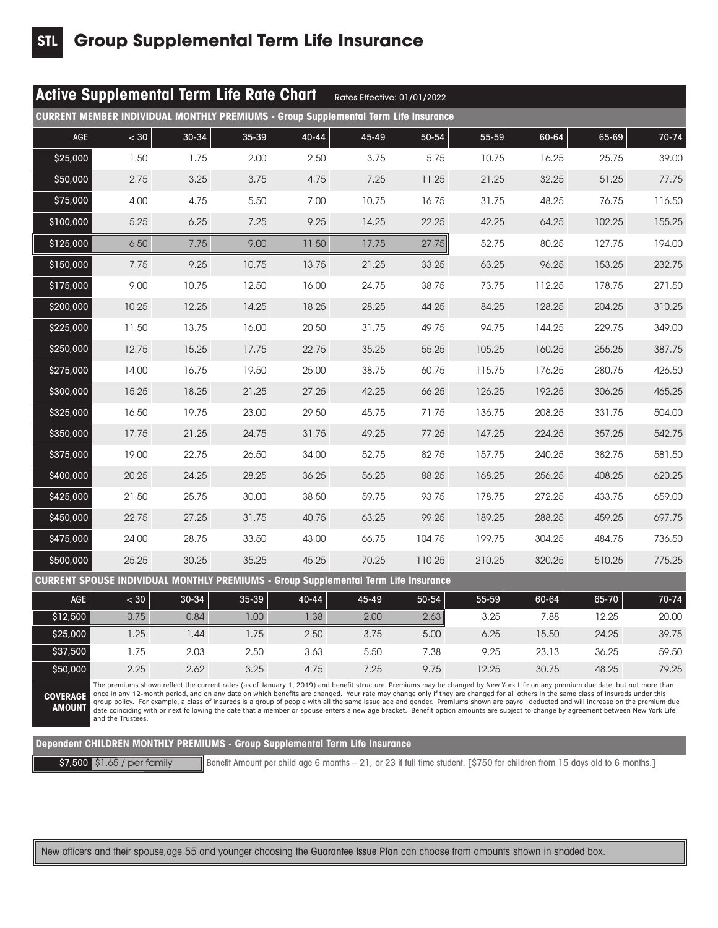|            | <b>Active Supplemental Term Life Rate Chart</b>                                                                                                                                                                                                                                                                                                                      |           |           |       | Rates Effective: 01/01/2022 |        |        |        |        |        |
|------------|----------------------------------------------------------------------------------------------------------------------------------------------------------------------------------------------------------------------------------------------------------------------------------------------------------------------------------------------------------------------|-----------|-----------|-------|-----------------------------|--------|--------|--------|--------|--------|
|            | <b>CURRENT MEMBER INDIVIDUAL MONTHLY PREMIUMS - Group Supplemental Term Life Insurance</b>                                                                                                                                                                                                                                                                           |           |           |       |                             |        |        |        |        |        |
| <b>AGE</b> | < 30                                                                                                                                                                                                                                                                                                                                                                 | $30 - 34$ | 35-39     | 40-44 | 45-49                       | 50-54  | 55-59  | 60-64  | 65-69  | 70-74  |
| \$25,000   | 1.50                                                                                                                                                                                                                                                                                                                                                                 | 1.75      | 2.00      | 2.50  | 3.75                        | 5.75   | 10.75  | 16.25  | 25.75  | 39,00  |
| \$50,000   | 2.75                                                                                                                                                                                                                                                                                                                                                                 | 3.25      | 3.75      | 4.75  | 7.25                        | 11.25  | 21.25  | 32.25  | 51.25  | 77.75  |
| \$75,000   | 4.00                                                                                                                                                                                                                                                                                                                                                                 | 4.75      | 5.50      | 7.00  | 10.75                       | 16.75  | 31.75  | 48.25  | 76.75  | 116.50 |
| \$100,000  | 5.25                                                                                                                                                                                                                                                                                                                                                                 | 6.25      | 7.25      | 9.25  | 14.25                       | 22.25  | 42.25  | 64.25  | 102.25 | 155.25 |
| \$125,000  | 6.50                                                                                                                                                                                                                                                                                                                                                                 | 7.75      | 9.00      | 11.50 | 17.75                       | 27.75  | 52.75  | 80.25  | 127.75 | 194.00 |
| \$150,000  | 7.75                                                                                                                                                                                                                                                                                                                                                                 | 9.25      | 10.75     | 13.75 | 21.25                       | 33.25  | 63.25  | 96.25  | 153.25 | 232.75 |
| \$175,000  | 9.00                                                                                                                                                                                                                                                                                                                                                                 | 10.75     | 12.50     | 16.00 | 24.75                       | 38.75  | 73.75  | 112.25 | 178.75 | 271.50 |
| \$200,000  | 10.25                                                                                                                                                                                                                                                                                                                                                                | 12.25     | 14.25     | 18.25 | 28.25                       | 44.25  | 84.25  | 128.25 | 204.25 | 310.25 |
| \$225,000  | 11.50                                                                                                                                                                                                                                                                                                                                                                | 13.75     | 16.00     | 20.50 | 31.75                       | 49.75  | 94.75  | 144.25 | 229.75 | 349.00 |
| \$250,000  | 12.75                                                                                                                                                                                                                                                                                                                                                                | 15.25     | 17.75     | 22.75 | 35.25                       | 55.25  | 105.25 | 160.25 | 255.25 | 387.75 |
| \$275,000  | 14.00                                                                                                                                                                                                                                                                                                                                                                | 16.75     | 19.50     | 25.00 | 38.75                       | 60.75  | 115.75 | 176.25 | 280.75 | 426.50 |
| \$300,000  | 15.25                                                                                                                                                                                                                                                                                                                                                                | 18.25     | 21.25     | 27.25 | 42.25                       | 66.25  | 126.25 | 192.25 | 306.25 | 465.25 |
| \$325,000  | 16.50                                                                                                                                                                                                                                                                                                                                                                | 19.75     | 23.00     | 29.50 | 45.75                       | 71.75  | 136.75 | 208.25 | 331.75 | 504.00 |
| \$350,000  | 17.75                                                                                                                                                                                                                                                                                                                                                                | 21.25     | 24.75     | 31.75 | 49.25                       | 77.25  | 147.25 | 224.25 | 357.25 | 542.75 |
| \$375,000  | 19.00                                                                                                                                                                                                                                                                                                                                                                | 22.75     | 26.50     | 34.00 | 52.75                       | 82.75  | 157.75 | 240.25 | 382.75 | 581.50 |
| \$400,000  | 20.25                                                                                                                                                                                                                                                                                                                                                                | 24.25     | 28.25     | 36.25 | 56.25                       | 88.25  | 168.25 | 256.25 | 408.25 | 620.25 |
| \$425,000  | 21.50                                                                                                                                                                                                                                                                                                                                                                | 25.75     | 30.00     | 38.50 | 59.75                       | 93.75  | 178.75 | 272.25 | 433.75 | 659.00 |
| \$450,000  | 22.75                                                                                                                                                                                                                                                                                                                                                                | 27.25     | 31.75     | 40.75 | 63.25                       | 99.25  | 189.25 | 288.25 | 459.25 | 697.75 |
| \$475,000  | 24.00                                                                                                                                                                                                                                                                                                                                                                | 28.75     | 33.50     | 43.00 | 66.75                       | 104.75 | 199.75 | 304.25 | 484.75 | 736.50 |
| \$500,000  | 25.25                                                                                                                                                                                                                                                                                                                                                                | 30.25     | 35.25     | 45.25 | 70.25                       | 110.25 | 210.25 | 320.25 | 510.25 | 775.25 |
|            | <u> CURRENT SPOUSE INDIVIDUAL MONTHLY PREMIUMS - Group Supplemental Term Life Insurance</u>                                                                                                                                                                                                                                                                          |           |           |       |                             |        |        |        |        |        |
| <b>AGE</b> | $<$ 30                                                                                                                                                                                                                                                                                                                                                               | 30-34     | $35 - 39$ | 40-44 | 45-49                       | 50-54  | 55-59  | 60-64  | 65-70  | 70-74  |
| \$12,500   | 0.75                                                                                                                                                                                                                                                                                                                                                                 | 0.84      | 1.00      | 1.38  | 2.00                        | 2.63   | 3.25   | 7.88   | 12.25  | 20,00  |
| \$25,000   | 1.25                                                                                                                                                                                                                                                                                                                                                                 | 1.44      | 1.75      | 2.50  | 3.75                        | 5.00   | 6.25   | 15.50  | 24.25  | 39.75  |
| \$37,500   | 1.75                                                                                                                                                                                                                                                                                                                                                                 | 2.03      | 2.50      | 3.63  | 5.50                        | 7.38   | 9.25   | 23.13  | 36.25  | 59.50  |
| \$50,000   | 2.25                                                                                                                                                                                                                                                                                                                                                                 | 2.62      | 3.25      | 4.75  | 7.25                        | 9.75   | 12.25  | 30.75  | 48.25  | 79.25  |
|            | The premiums shown reflect the current rates (as of January 1, 2019) and benefit structure. Premiums may be changed by New York Life on any premium due date, but not more than<br>once in any 12-month period, and on any date on which benefits are changed. Your rate may change only if they are changed for all others in the same class of insureds under this |           |           |       |                             |        |        |        |        |        |

**COVERAGE AMOUNT** once in any 12-month period, and on any date on which benefits are changed. Your rate may change only if they are changed for all others in the same class of insureds under this<br>group policy. For example, a class of insure

**Dependent CHILDREN MONTHLY PREMIUMS - Group Supplemental Term Life Insurance**

\$7,500 \$1.65 / per family Benefit Amount per child age 6 months – 21, or 23 if full time student. [\$750 for children from 15 days old to 6 months.]

New officers and their spouse,age 55 and younger choosing the Guarantee Issue Plan can choose from amounts shown in shaded box.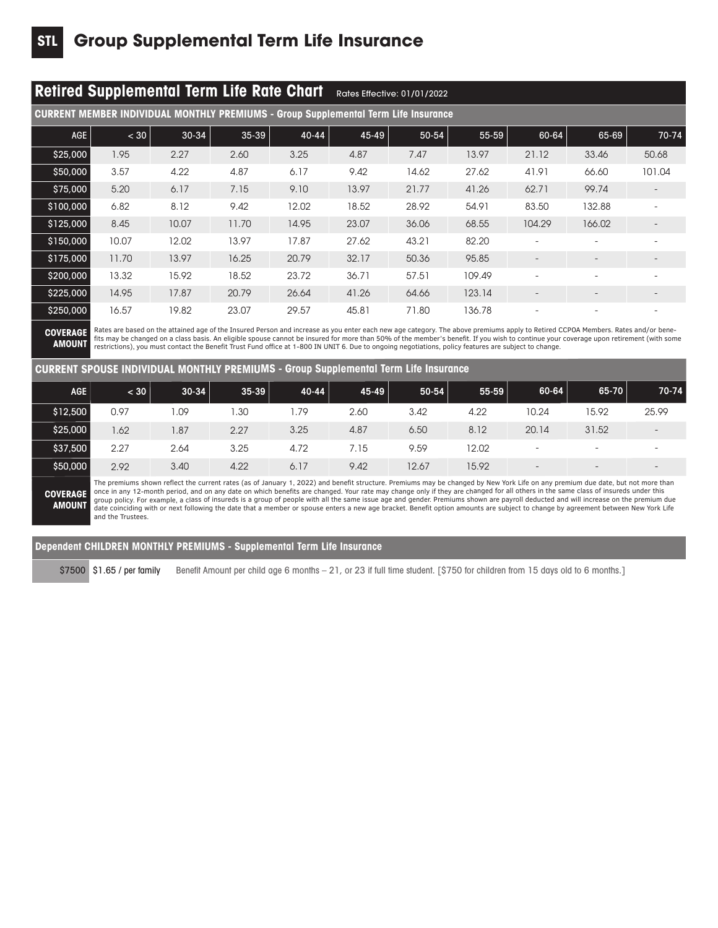|                                                                                                                                                                                                                                                                                                                                                                                                                                                                                                                                                                         | <b>Retired Supplemental Term Life Rate Chart</b><br>Rates Effective: 01/01/2022 |       |           |           |       |       |        |        |                          |                          |
|-------------------------------------------------------------------------------------------------------------------------------------------------------------------------------------------------------------------------------------------------------------------------------------------------------------------------------------------------------------------------------------------------------------------------------------------------------------------------------------------------------------------------------------------------------------------------|---------------------------------------------------------------------------------|-------|-----------|-----------|-------|-------|--------|--------|--------------------------|--------------------------|
| <b>CURRENT MEMBER INDIVIDUAL MONTHLY PREMIUMS - Group Supplemental Term Life Insurance</b>                                                                                                                                                                                                                                                                                                                                                                                                                                                                              |                                                                                 |       |           |           |       |       |        |        |                          |                          |
| AGE                                                                                                                                                                                                                                                                                                                                                                                                                                                                                                                                                                     | < 30                                                                            | 30-34 | $35 - 39$ | $40 - 44$ | 45-49 | 50-54 | 55-59  | 60-64  | 65-69                    | 70-74                    |
| \$25,000                                                                                                                                                                                                                                                                                                                                                                                                                                                                                                                                                                | 1.95                                                                            | 2.27  | 2.60      | 3.25      | 4.87  | 7.47  | 13.97  | 21.12  | 33.46                    | 50.68                    |
| \$50,000                                                                                                                                                                                                                                                                                                                                                                                                                                                                                                                                                                | 3.57                                                                            | 4.22  | 4.87      | 6.17      | 9.42  | 14.62 | 27.62  | 41.91  | 66.60                    | 101.04                   |
| \$75,000                                                                                                                                                                                                                                                                                                                                                                                                                                                                                                                                                                | 5.20                                                                            | 6.17  | 7.15      | 9.10      | 13.97 | 21.77 | 41.26  | 62.71  | 99.74                    |                          |
| \$100,000                                                                                                                                                                                                                                                                                                                                                                                                                                                                                                                                                               | 6.82                                                                            | 8.12  | 9.42      | 12.02     | 18.52 | 28.92 | 54.91  | 83.50  | 132.88                   |                          |
| \$125,000                                                                                                                                                                                                                                                                                                                                                                                                                                                                                                                                                               | 8.45                                                                            | 10.07 | 11.70     | 14.95     | 23.07 | 36.06 | 68.55  | 104.29 | 166.02                   |                          |
| \$150,000                                                                                                                                                                                                                                                                                                                                                                                                                                                                                                                                                               | 10.07                                                                           | 12.02 | 13.97     | 17.87     | 27.62 | 43.21 | 82.20  |        |                          |                          |
| \$175,000                                                                                                                                                                                                                                                                                                                                                                                                                                                                                                                                                               | 11.70                                                                           | 13.97 | 16.25     | 20.79     | 32.17 | 50,36 | 95.85  |        |                          |                          |
| \$200,000                                                                                                                                                                                                                                                                                                                                                                                                                                                                                                                                                               | 13.32                                                                           | 15.92 | 18.52     | 23.72     | 36.71 | 57.51 | 109.49 |        |                          | $\overline{\phantom{a}}$ |
| \$225,000                                                                                                                                                                                                                                                                                                                                                                                                                                                                                                                                                               | 14.95                                                                           | 17.87 | 20.79     | 26.64     | 41.26 | 64.66 | 123.14 |        |                          |                          |
| \$250,000                                                                                                                                                                                                                                                                                                                                                                                                                                                                                                                                                               | 16.57                                                                           | 19.82 | 23.07     | 29.57     | 45.81 | 71.80 | 136.78 |        | $\overline{\phantom{a}}$ | $\overline{\phantom{0}}$ |
| Rates are based on the attained age of the Insured Person and increase as you enter each new age category. The above premiums apply to Retired CCPOA Members. Rates and/or bene-<br><b>COVERAGE</b><br>fits may be changed on a class basis. An eligible spouse cannot be insured for more than 50% of the member's benefit. If you wish to continue your coverage upon retirement (with some<br><b>AMOUNT</b><br>restrictions), you must contact the Benefit Trust Fund office at 1-800 IN UNIT 6. Due to ongoing negotiations, policy features are subject to change. |                                                                                 |       |           |           |       |       |        |        |                          |                          |

### **CURRENT SPOUSE INDIVIDUAL MONTHLY PREMIUMS - Group Supplemental Term Life Insurance**

| <b>AGE</b> | < 30 | $30 - 34$ | $35 - 39$ | $40 - 44$ | $45 - 49$ | $50 - 54$ | 55-59 | 60-64                    | $65 - 70$                | 70-74                    |
|------------|------|-----------|-----------|-----------|-----------|-----------|-------|--------------------------|--------------------------|--------------------------|
| \$12,500   | 0.97 | ,09       | .30       | 1.79      | 2.60      | 3.42      | 4.22  | 10.24                    | 15.92                    | 25.99                    |
| \$25,000   | .62  | .87       | 2.27      | 3.25      | 4.87      | 6.50      | 8.12  | 20.14                    | 31.52                    | $\qquad \qquad -$        |
| \$37,500   | 2.27 | 2.64      | 3.25      | 4.72      | 7.15      | 9.59      | 12.02 | $\overline{\phantom{a}}$ | -                        | $\overline{\phantom{0}}$ |
| \$50,000   | 2.92 | 3.40      | 4.22      | 6.17      | 9.42      | 12.67     | 15.92 | $\overline{\phantom{0}}$ | $\overline{\phantom{0}}$ | $-$                      |

**COVERAGE AMOUNT** The premiums shown reflect the current rates (as of January 1, 2022) and benefit structure. Premiums may be changed by New York Life on any premium due date, but not more than once in any 12-month period, and on any date on which benefits are changed. Your rate may change only if they are changed for all others in the same class of insureds under this<br>group policy. For example, a class of insure and the Trustees.

### **Dependent CHILDREN MONTHLY PREMIUMS - Supplemental Term Life Insurance**

\$7500 \$1.65 / per family Benefit Amount per child age 6 months - 21, or 23 if full time student. [\$750 for children from 15 days old to 6 months.]